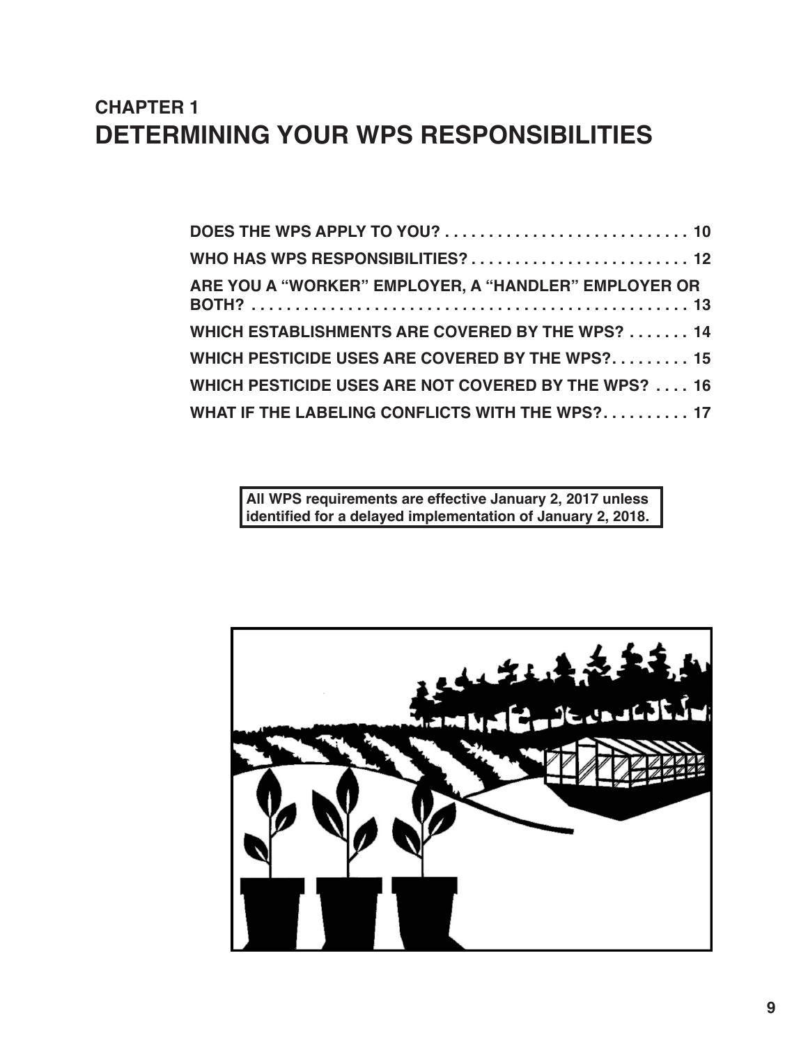# **CHAPTER 1 DETERMINING YOUR WPS RESPONSIBILITIES**

| ARE YOU A "WORKER" EMPLOYER, A "HANDLER" EMPLOYER OR |
|------------------------------------------------------|
| WHICH ESTABLISHMENTS ARE COVERED BY THE WPS?  14     |
| WHICH PESTICIDE USES ARE COVERED BY THE WPS? 15      |
| WHICH PESTICIDE USES ARE NOT COVERED BY THE WPS?  16 |
| WHAT IF THE LABELING CONFLICTS WITH THE WPS? 17      |

**All WPS requirements are effective January 2, 2017 unless identified for a delayed implementation of January 2, 2018.** 

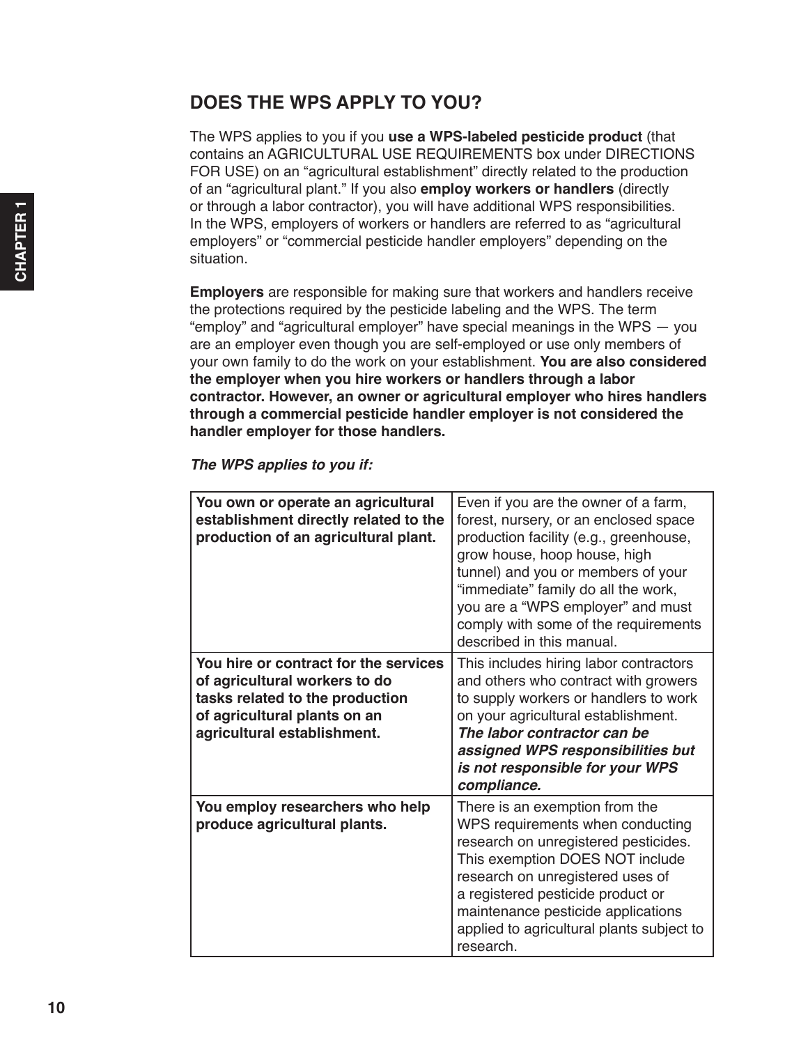# <span id="page-1-0"></span>**DOES THE WPS APPLY TO YOU?**

The WPS applies to you if you **use a WPS-labeled pesticide product** (that contains an AGRICULTURAL USE REQUIREMENTS box under DIRECTIONS FOR USE) on an "agricultural establishment" directly related to the production of an "agricultural plant." If you also **employ workers or handlers** (directly or through a labor contractor), you will have additional WPS responsibilities. In the WPS, employers of workers or handlers are referred to as "agricultural employers" or "commercial pesticide handler employers" depending on the situation.

**Employers** are responsible for making sure that workers and handlers receive the protections required by the pesticide labeling and the WPS. The term "employ" and "agricultural employer" have special meanings in the WPS — you are an employer even though you are self-employed or use only members of your own family to do the work on your establishment. **You are also considered the employer when you hire workers or handlers through a labor contractor. However, an owner or agricultural employer who hires handlers through a commercial pesticide handler employer is not considered the handler employer for those handlers.**

*The WPS applies to you if:*

| You own or operate an agricultural<br>establishment directly related to the<br>production of an agricultural plant.                                                      | Even if you are the owner of a farm,<br>forest, nursery, or an enclosed space<br>production facility (e.g., greenhouse,<br>grow house, hoop house, high<br>tunnel) and you or members of your<br>"immediate" family do all the work,<br>you are a "WPS employer" and must<br>comply with some of the requirements<br>described in this manual. |
|--------------------------------------------------------------------------------------------------------------------------------------------------------------------------|------------------------------------------------------------------------------------------------------------------------------------------------------------------------------------------------------------------------------------------------------------------------------------------------------------------------------------------------|
| You hire or contract for the services<br>of agricultural workers to do<br>tasks related to the production<br>of agricultural plants on an<br>agricultural establishment. | This includes hiring labor contractors<br>and others who contract with growers<br>to supply workers or handlers to work<br>on your agricultural establishment.<br>The labor contractor can be<br>assigned WPS responsibilities but<br>is not responsible for your WPS<br>compliance.                                                           |
| You employ researchers who help<br>produce agricultural plants.                                                                                                          | There is an exemption from the<br>WPS requirements when conducting<br>research on unregistered pesticides.<br>This exemption DOES NOT include<br>research on unregistered uses of<br>a registered pesticide product or<br>maintenance pesticide applications<br>applied to agricultural plants subject to<br>research.                         |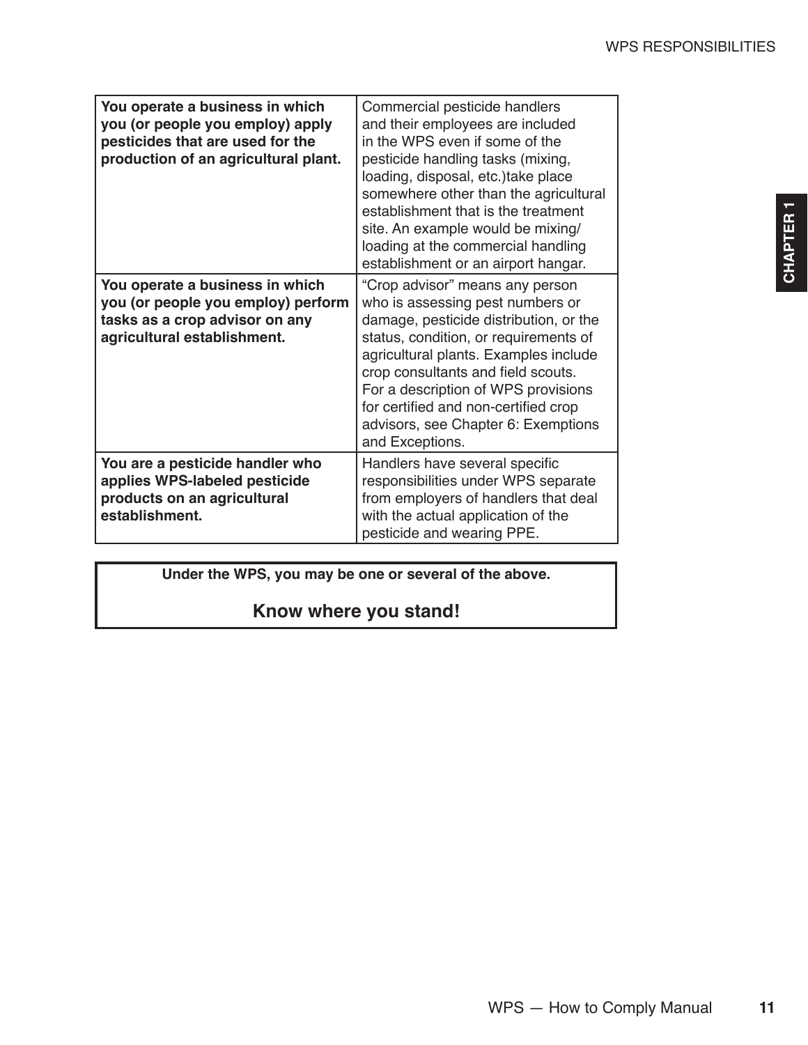| You operate a business in which<br>you (or people you employ) apply<br>pesticides that are used for the<br>production of an agricultural plant. | Commercial pesticide handlers<br>and their employees are included<br>in the WPS even if some of the<br>pesticide handling tasks (mixing,<br>loading, disposal, etc.)take place<br>somewhere other than the agricultural<br>establishment that is the treatment<br>site. An example would be mixing/<br>loading at the commercial handling<br>establishment or an airport hangar. |
|-------------------------------------------------------------------------------------------------------------------------------------------------|----------------------------------------------------------------------------------------------------------------------------------------------------------------------------------------------------------------------------------------------------------------------------------------------------------------------------------------------------------------------------------|
| You operate a business in which<br>you (or people you employ) perform<br>tasks as a crop advisor on any<br>agricultural establishment.          | "Crop advisor" means any person<br>who is assessing pest numbers or<br>damage, pesticide distribution, or the<br>status, condition, or requirements of<br>agricultural plants. Examples include<br>crop consultants and field scouts.<br>For a description of WPS provisions<br>for certified and non-certified crop<br>advisors, see Chapter 6: Exemptions<br>and Exceptions.   |
| You are a pesticide handler who<br>applies WPS-labeled pesticide<br>products on an agricultural<br>establishment.                               | Handlers have several specific<br>responsibilities under WPS separate<br>from employers of handlers that deal<br>with the actual application of the<br>pesticide and wearing PPE.                                                                                                                                                                                                |

**Under the WPS, you may be one or several of the above.**

# **Know where you stand!**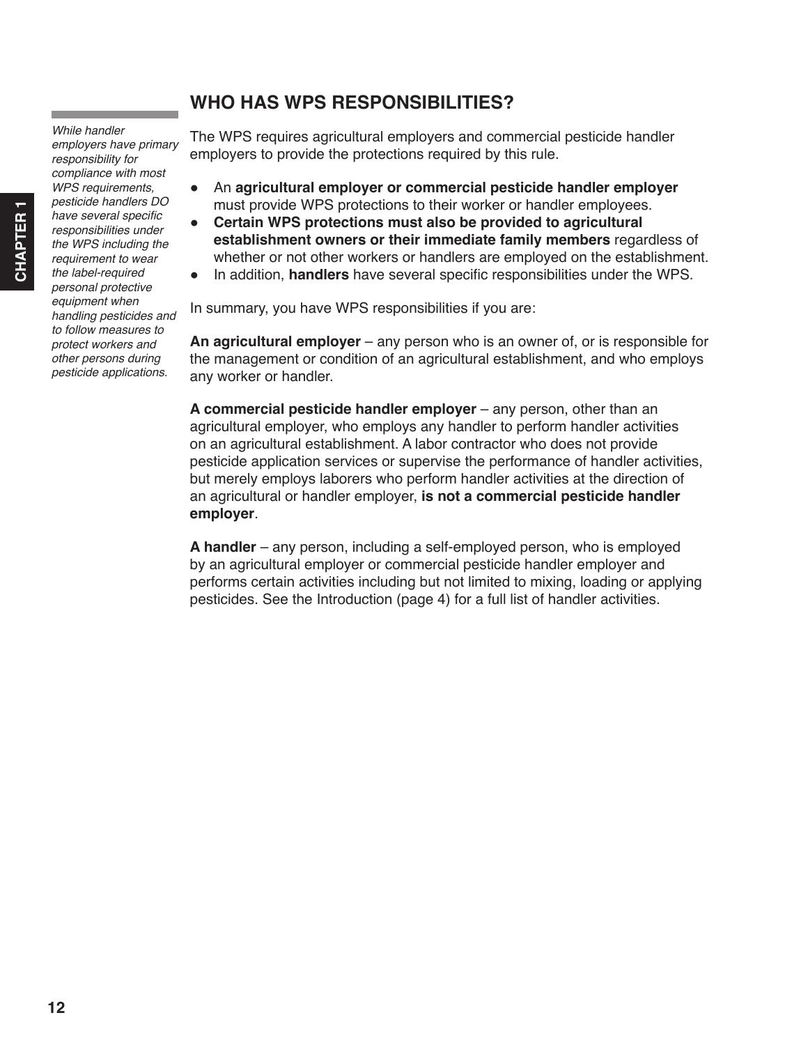<span id="page-3-0"></span>*While handler employers have primary responsibility for compliance with most WPS requirements, pesticide handlers DO*  have several specific *responsibilities under the WPS including the requirement to wear the label-required personal protective equipment when handling pesticides and to follow measures to protect workers and other persons during* 

*pesticide applications.*

### **WHO HAS WPS RESPONSIBILITIES?**

The WPS requires agricultural employers and commercial pesticide handler employers to provide the protections required by this rule.

- An **agricultural employer or commercial pesticide handler employer** must provide WPS protections to their worker or handler employees.
- **Certain WPS protections must also be provided to agricultural establishment owners or their immediate family members** regardless of whether or not other workers or handlers are employed on the establishment.
- In addition, **handlers** have several specific responsibilities under the WPS.

In summary, you have WPS responsibilities if you are:

**An agricultural employer** – any person who is an owner of, or is responsible for the management or condition of an agricultural establishment, and who employs any worker or handler.

**A commercial pesticide handler employer** – any person, other than an agricultural employer, who employs any handler to perform handler activities on an agricultural establishment. A labor contractor who does not provide pesticide application services or supervise the performance of handler activities, but merely employs laborers who perform handler activities at the direction of an agricultural or handler employer, **is not a commercial pesticide handler employer**.

**A handler** – any person, including a self-employed person, who is employed by an agricultural employer or commercial pesticide handler employer and performs certain activities including but not limited to mixing, loading or applying pesticides. See the Introduction (page 4) for a full list of handler activities.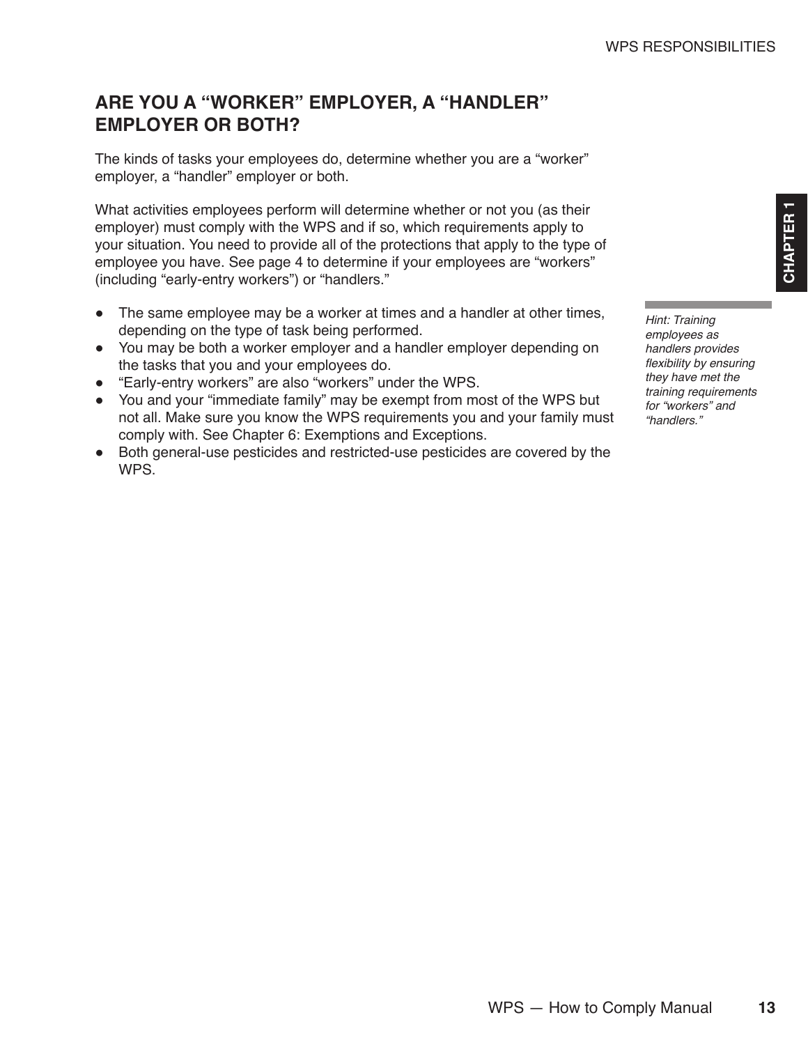### <span id="page-4-0"></span>**ARE YOU A "WORKER" EMPLOYER, A "HANDLER" EMPLOYER OR BOTH?**

The kinds of tasks your employees do, determine whether you are a "worker" employer, a "handler" employer or both.

What activities employees perform will determine whether or not you (as their employer) must comply with the WPS and if so, which requirements apply to your situation. You need to provide all of the protections that apply to the type of employee you have. See page 4 to determine if your employees are "workers" (including "early-entry workers") or "handlers."

- The same employee may be a worker at times and a handler at other times, depending on the type of task being performed.
- You may be both a worker employer and a handler employer depending on the tasks that you and your employees do.
- "Early-entry workers" are also "workers" under the WPS.
- You and your "immediate family" may be exempt from most of the WPS but not all. Make sure you know the WPS requirements you and your family must comply with. See Chapter 6: Exemptions and Exceptions.
- Both general-use pesticides and restricted-use pesticides are covered by the WPS.

*Hint: Training employees as handlers provides*  flexibility by ensuring *they have met the training requirements for "workers" and "handlers."*

WPS — How to Comply Manual **13**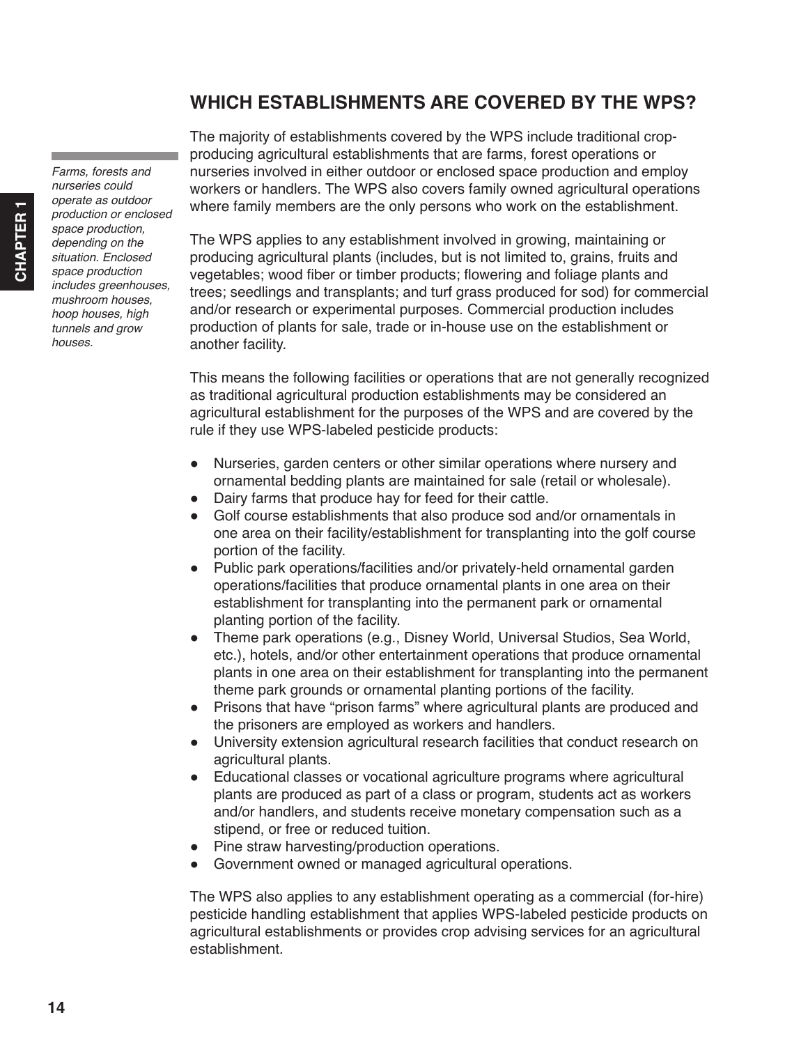### **WHICH ESTABLISHMENTS ARE COVERED BY THE WPS?**

The majority of establishments covered by the WPS include traditional cropproducing agricultural establishments that are farms, forest operations or nurseries involved in either outdoor or enclosed space production and employ workers or handlers. The WPS also covers family owned agricultural operations where family members are the only persons who work on the establishment.

The WPS applies to any establishment involved in growing, maintaining or producing agricultural plants (includes, but is not limited to, grains, fruits and vegetables; wood fiber or timber products; flowering and foliage plants and trees; seedlings and transplants; and turf grass produced for sod) for commercial and/or research or experimental purposes. Commercial production includes production of plants for sale, trade or in-house use on the establishment or another facility.

This means the following facilities or operations that are not generally recognized as traditional agricultural production establishments may be considered an agricultural establishment for the purposes of the WPS and are covered by the rule if they use WPS-labeled pesticide products:

- Nurseries, garden centers or other similar operations where nursery and ornamental bedding plants are maintained for sale (retail or wholesale).
- Dairy farms that produce hay for feed for their cattle.
- Golf course establishments that also produce sod and/or ornamentals in one area on their facility/establishment for transplanting into the golf course portion of the facility.
- Public park operations/facilities and/or privately-held ornamental garden operations/facilities that produce ornamental plants in one area on their establishment for transplanting into the permanent park or ornamental planting portion of the facility.
- Theme park operations (e.g., Disney World, Universal Studios, Sea World, etc.), hotels, and/or other entertainment operations that produce ornamental plants in one area on their establishment for transplanting into the permanent theme park grounds or ornamental planting portions of the facility.
- Prisons that have "prison farms" where agricultural plants are produced and the prisoners are employed as workers and handlers.
- University extension agricultural research facilities that conduct research on agricultural plants.
- Educational classes or vocational agriculture programs where agricultural plants are produced as part of a class or program, students act as workers and/or handlers, and students receive monetary compensation such as a stipend, or free or reduced tuition.
- Pine straw harvesting/production operations.
- Government owned or managed agricultural operations.

The WPS also applies to any establishment operating as a commercial (for-hire) pesticide handling establishment that applies WPS-labeled pesticide products on agricultural establishments or provides crop advising services for an agricultural establishment.

<span id="page-5-0"></span>*Farms, forests and nurseries could operate as outdoor production or enclosed space production, depending on the situation. Enclosed space production includes greenhouses, mushroom houses, hoop houses, high tunnels and grow* 

*houses.*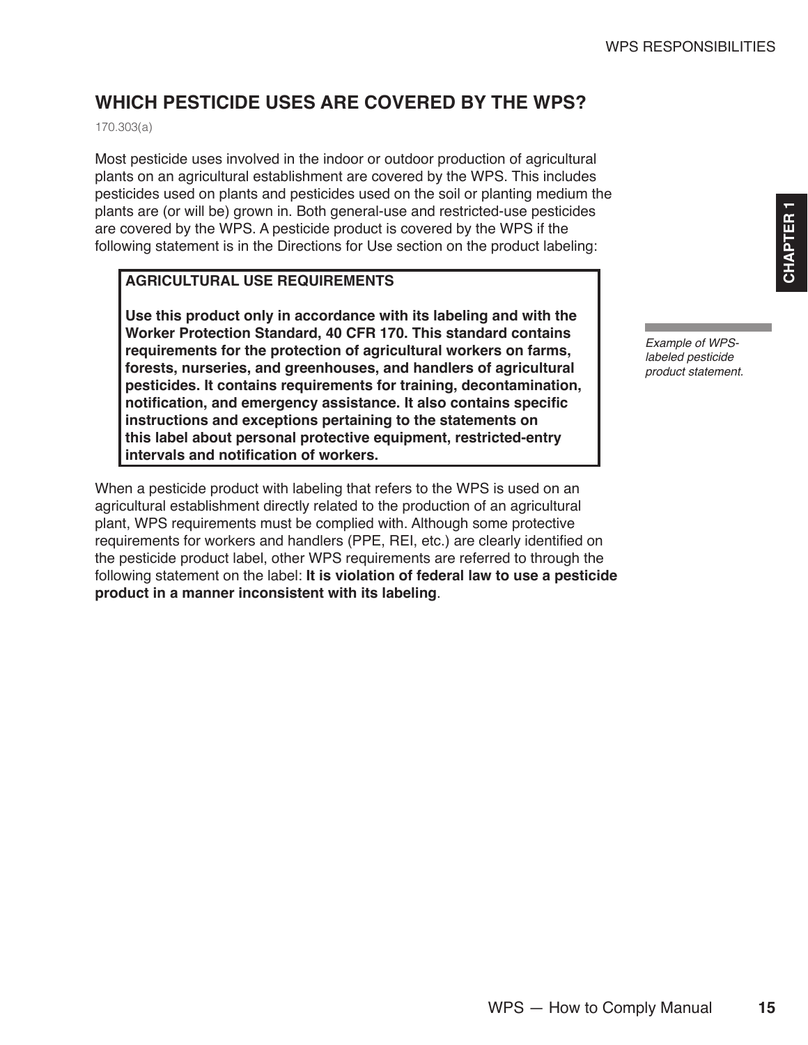### <span id="page-6-0"></span>**WHICH PESTICIDE USES ARE COVERED BY THE WPS?**

170.303(a)

Most pesticide uses involved in the indoor or outdoor production of agricultural plants on an agricultural establishment are covered by the WPS. This includes pesticides used on plants and pesticides used on the soil or planting medium the plants are (or will be) grown in. Both general-use and restricted-use pesticides are covered by the WPS. A pesticide product is covered by the WPS if the following statement is in the Directions for Use section on the product labeling:

#### **AGRICULTURAL USE REQUIREMENTS**

**Use this product only in accordance with its labeling and with the Worker Protection Standard, 40 CFR 170. This standard contains requirements for the protection of agricultural workers on farms, forests, nurseries, and greenhouses, and handlers of agricultural pesticides. It contains requirements for training, decontamination, notification, and emergency assistance. It also contains specific instructions and exceptions pertaining to the statements on this label about personal protective equipment, restricted-entry intervals and notification of workers.**

When a pesticide product with labeling that refers to the WPS is used on an agricultural establishment directly related to the production of an agricultural plant, WPS requirements must be complied with. Although some protective requirements for workers and handlers (PPE, REI, etc.) are clearly identified on the pesticide product label, other WPS requirements are referred to through the following statement on the label: **It is violation of federal law to use a pesticide product in a manner inconsistent with its labeling**.

Example of WPS*labeled pesticide product statement.*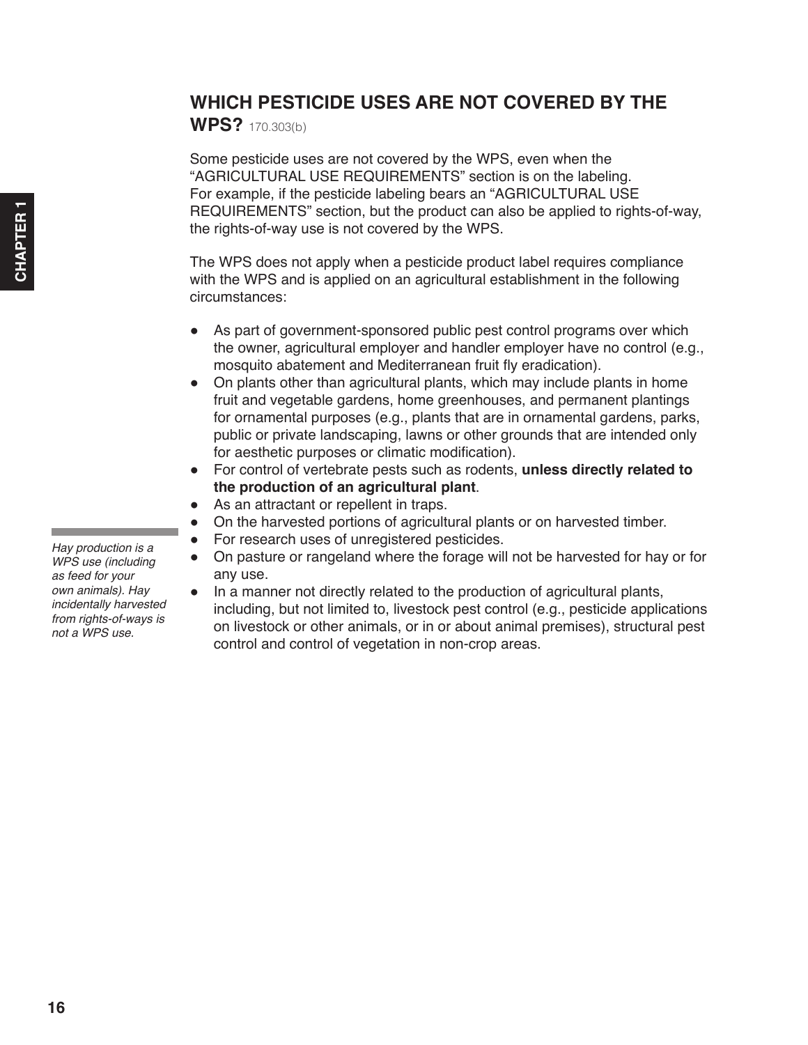### <span id="page-7-0"></span>**WHICH PESTICIDE USES ARE NOT COVERED BY THE**

**WPS?** 170.303(b)

Some pesticide uses are not covered by the WPS, even when the "AGRICULTURAL USE REQUIREMENTS" section is on the labeling. For example, if the pesticide labeling bears an "AGRICULTURAL USE REQUIREMENTS" section, but the product can also be applied to rights-of-way, the rights-of-way use is not covered by the WPS.

The WPS does not apply when a pesticide product label requires compliance with the WPS and is applied on an agricultural establishment in the following circumstances:

- As part of government-sponsored public pest control programs over which the owner, agricultural employer and handler employer have no control (e.g., mosquito abatement and Mediterranean fruit fly eradication).
- On plants other than agricultural plants, which may include plants in home fruit and vegetable gardens, home greenhouses, and permanent plantings for ornamental purposes (e.g., plants that are in ornamental gardens, parks, public or private landscaping, lawns or other grounds that are intended only for aesthetic purposes or climatic modification).
- For control of vertebrate pests such as rodents, **unless directly related to the production of an agricultural plant**.
- As an attractant or repellent in traps.
- On the harvested portions of agricultural plants or on harvested timber.
- For research uses of unregistered pesticides.
- On pasture or rangeland where the forage will not be harvested for hay or for any use.
- In a manner not directly related to the production of agricultural plants, including, but not limited to, livestock pest control (e.g., pesticide applications on livestock or other animals, or in or about animal premises), structural pest control and control of vegetation in non-crop areas.

*Hay production is a WPS use (including as feed for your own animals). Hay incidentally harvested from rights-of-ways is not a WPS use.*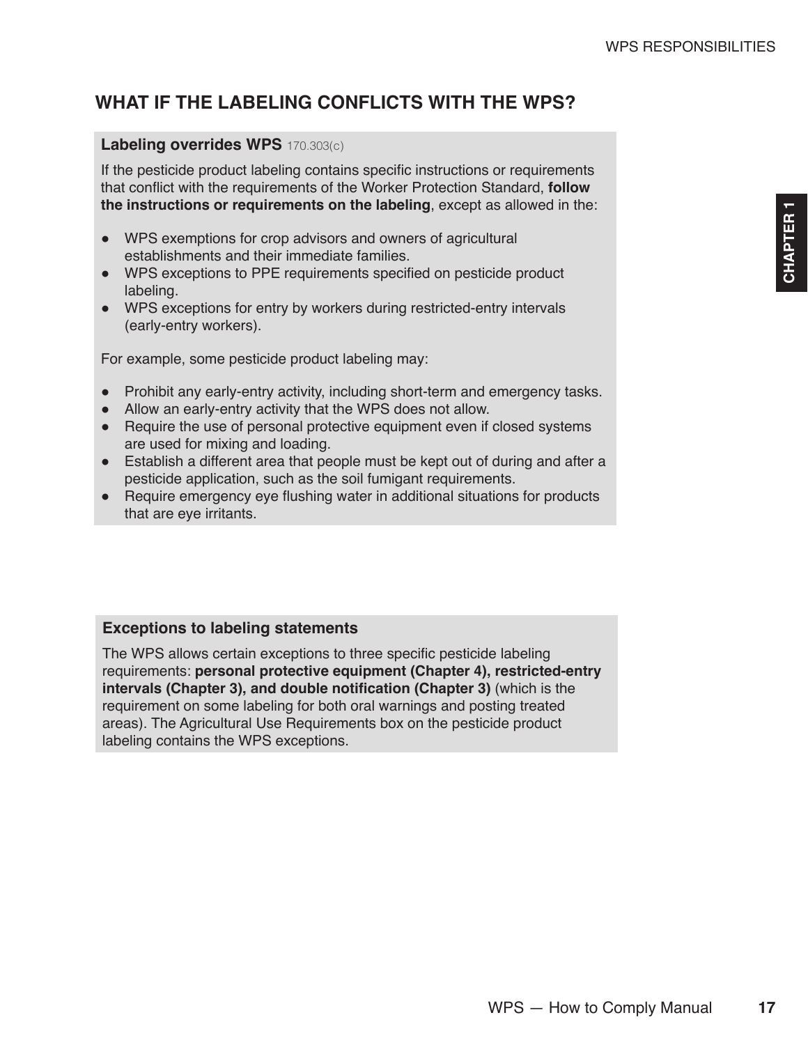# <span id="page-8-0"></span>**WHAT IF THE LABELING CONFLICTS WITH THE WPS?**

#### **Labeling overrides WPS** 170.303(c)

If the pesticide product labeling contains specific instructions or requirements that conflict with the requirements of the Worker Protection Standard, **follow the instructions or requirements on the labeling**, except as allowed in the:

- WPS exemptions for crop advisors and owners of agricultural establishments and their immediate families.
- WPS exceptions to PPE requirements specified on pesticide product labeling.
- WPS exceptions for entry by workers during restricted-entry intervals (early-entry workers).

For example, some pesticide product labeling may:

- Prohibit any early-entry activity, including short-term and emergency tasks.
- Allow an early-entry activity that the WPS does not allow.
- Require the use of personal protective equipment even if closed systems are used for mixing and loading.
- Establish a different area that people must be kept out of during and after a pesticide application, such as the soil fumigant requirements.
- Require emergency eye flushing water in additional situations for products that are eye irritants.

#### **Exceptions to labeling statements**

The WPS allows certain exceptions to three specific pesticide labeling requirements: **personal protective equipment (Chapter 4), restricted-entry intervals (Chapter 3), and double notification (Chapter 3)** (which is the requirement on some labeling for both oral warnings and posting treated areas). The Agricultural Use Requirements box on the pesticide product labeling contains the WPS exceptions.